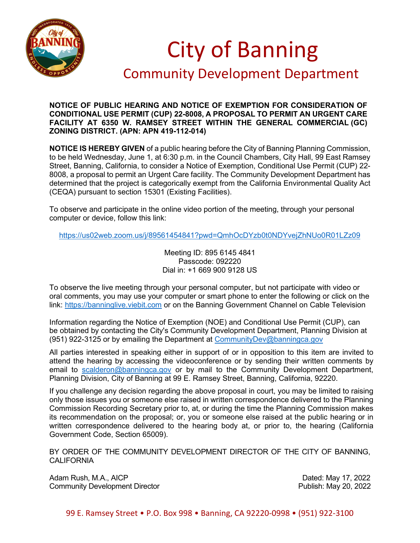

## City of Banning

## Community Development Department

## **NOTICE OF PUBLIC HEARING AND NOTICE OF EXEMPTION FOR CONSIDERATION OF CONDITIONAL USE PERMIT (CUP) 22-8008, A PROPOSAL TO PERMIT AN URGENT CARE FACILITY AT 6350 W. RAMSEY STREET WITHIN THE GENERAL COMMERCIAL (GC) ZONING DISTRICT. (APN: APN 419-112-014)**

**NOTICE IS HEREBY GIVEN** of a public hearing before the City of Banning Planning Commission, to be held Wednesday, June 1, at 6:30 p.m. in the Council Chambers, City Hall, 99 East Ramsey Street, Banning, California, to consider a Notice of Exemption, Conditional Use Permit (CUP) 22- 8008, a proposal to permit an Urgent Care facility. The Community Development Department has determined that the project is categorically exempt from the California Environmental Quality Act (CEQA) pursuant to section 15301 (Existing Facilities).

To observe and participate in the online video portion of the meeting, through your personal computer or device, follow this link:

<https://us02web.zoom.us/j/89561454841?pwd=QmhOcDYzb0t0NDYvejZhNUo0R01LZz09>

Meeting ID: 895 6145 4841 Passcode: 092220 Dial in: +1 669 900 9128 US

To observe the live meeting through your personal computer, but not participate with video or oral comments, you may use your computer or smart phone to enter the following or click on the link: [https://banninglive.viebit.com](https://banninglive.viebit.com/) or on the Banning Government Channel on Cable Television

Information regarding the Notice of Exemption (NOE) and Conditional Use Permit (CUP), can be obtained by contacting the City's Community Development Department, Planning Division at (951) 922-3125 or by emailing the Department at [CommunityDev@banningca.gov](mailto:CommunityDev@banningca.gov)

All parties interested in speaking either in support of or in opposition to this item are invited to attend the hearing by accessing the videoconference or by sending their written comments by email to [scalderon@banningca.gov](mailto:scalderon@banningca.gov) or by mail to the Community Development Department, Planning Division, City of Banning at 99 E. Ramsey Street, Banning, California, 92220.

If you challenge any decision regarding the above proposal in court, you may be limited to raising only those issues you or someone else raised in written correspondence delivered to the Planning Commission Recording Secretary prior to, at, or during the time the Planning Commission makes its recommendation on the proposal; or, you or someone else raised at the public hearing or in written correspondence delivered to the hearing body at, or prior to, the hearing (California Government Code, Section 65009).

BY ORDER OF THE COMMUNITY DEVELOPMENT DIRECTOR OF THE CITY OF BANNING, CALIFORNIA

Adam Rush, M.A., AICP Dated: May 17, 2022 Community Development Director

99 E. Ramsey Street • P.O. Box 998 • Banning, CA 92220-0998 • (951) 922-3100